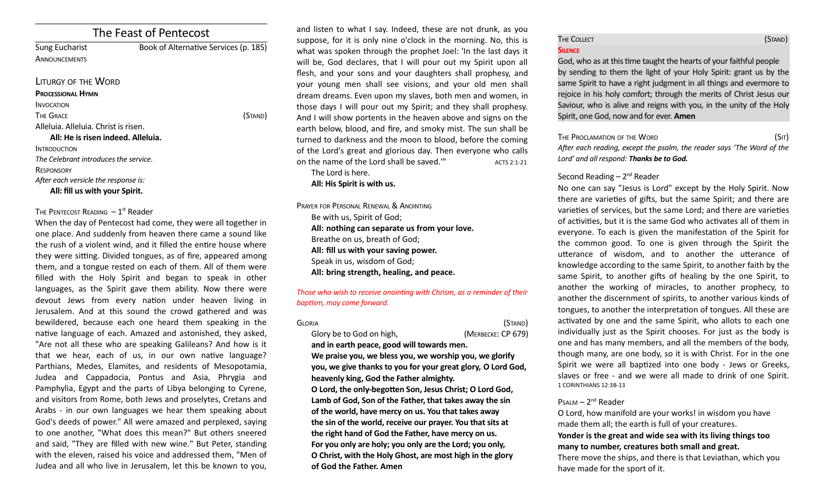# The Feast of Pentecost

Sung Eucharist Book of Alternative Services (p. 185) **ANNOUNCEMENTS** 

#### LITURGY OF THE WORD

#### **PROCESSIONAL HYMN**

INVOCATION

The Grace (Stand)

Alleluia. Alleluia. Christ is risen.

## **All: He is risen indeed. Alleluia. INTRODUCTION** *The Celebrant introduces the service.* **RESPONSORY** *Afer each versicle the response is:* **All: fll us with your Spirit.**

## THE PENTECOST READING  $-1<sup>st</sup>$  Reader

When the day of Pentecost had come, they were all together in one place. And suddenly from heaven there came a sound like the rush of a violent wind, and it filled the entire house where they were sitting. Divided tongues, as of fire, appeared among them, and a tongue rested on each of them. All of them were filled with the Holy Spirit and began to speak in other languages, as the Spirit gave them ability. Now there were devout Jews from every nation under heaven living in Jerusalem. And at this sound the crowd gathered and was bewildered, because each one heard them speaking in the native language of each. Amazed and astonished, they asked, "Are not all these who are speaking Galileans? And how is it that we hear, each of us, in our own native language? Parthians, Medes, Elamites, and residents of Mesopotamia, Judea and Cappadocia, Pontus and Asia, Phrygia and Pamphylia, Egypt and the parts of Libya belonging to Cyrene, and visitors from Rome, both Jews and proselytes, Cretans and Arabs - in our own languages we hear them speaking about God's deeds of power." All were amazed and perplexed, saying to one another, "What does this mean?" But others sneered and said, "They are flled with new wine." But Peter, standing with the eleven, raised his voice and addressed them, "Men of Judea and all who live in Jerusalem, let this be known to you,

and listen to what I say. Indeed, these are not drunk, as you suppose, for it is only nine o'clock in the morning. No, this is what was spoken through the prophet Joel: 'In the last days it will be, God declares, that I will pour out my Spirit upon all fesh, and your sons and your daughters shall prophesy, and your young men shall see visions, and your old men shall dream dreams. Even upon my slaves, both men and women, in those days I will pour out my Spirit; and they shall prophesy. And I will show portents in the heaven above and signs on the earth below, blood, and fire, and smoky mist. The sun shall be turned to darkness and the moon to blood, before the coming of the Lord's great and glorious day. Then everyone who calls on the name of the Lord shall be saved." $\mu$  ACTS 2:1-21

The Lord is here.

## **All: His Spirit is with us.**

PRAYER FOR PERSONAL RENEWAL & ANOINTING Be with us, Spirit of God; **All: nothing can separate us from your love.** Breathe on us, breath of God; **All: fll us with your saving power.** Speak in us, wisdom of God; **All: bring strength, healing, and peace.**

### *Those who wish to receive anointng with Chrism, as a reminder of their baptsm, may come forward.*

GLORIA (STAND) Glory be to God on high, *(MERBECKE: CP 679)* 

**and in earth peace, good will towards men. We praise you, we bless you, we worship you, we glorify you, we give thanks to you for your great glory, O Lord God, heavenly king, God the Father almighty. O Lord, the only-begoten Son, Jesus Christ; O Lord God, Lamb of God, Son of the Father, that takes away the sin of the world, have mercy on us. You that takes away the sin of the world, receive our prayer. You that sits at the right hand of God the Father, have mercy on us. For you only are holy; you only are the Lord; you only, O Christ, with the Holy Ghost, are most high in the glory of God the Father. Amen**

## THE COLLECT **THE COLLECT COLLECT SILENCE**

God, who as at this time taught the hearts of your faithful people by sending to them the light of your Holy Spirit: grant us by the same Spirit to have a right judgment in all things and evermore to rejoice in his holy comfort; through the merits of Christ Jesus our Saviour, who is alive and reigns with you, in the unity of the Holy Spirit, one God, now and for ever. **Amen**

#### THE PROCLAMATION OF THE WORD (SIT)

*Afer each reading, except the psalm, the reader says 'The Word of the Lord' and all respond: Thanks be to God.* 

## Second Reading  $-2^{nd}$  Reader

No one can say "Jesus is Lord" except by the Holy Spirit. Now there are varietes of gifs, but the same Spirit; and there are varieties of services, but the same Lord; and there are varieties of activities, but it is the same God who activates all of them in everyone. To each is given the manifestaton of the Spirit for the common good. To one is given through the Spirit the uterance of wisdom, and to another the uterance of knowledge according to the same Spirit, to another faith by the same Spirit, to another gifts of healing by the one Spirit, to another the working of miracles, to another prophecy, to another the discernment of spirits, to another various kinds of tongues, to another the interpretaton of tongues. All these are activated by one and the same Spirit, who allots to each one individually just as the Spirit chooses. For just as the body is one and has many members, and all the members of the body, though many, are one body, so it is with Christ. For in the one Spirit we were all baptized into one body - Jews or Greeks, slaves or free - and we were all made to drink of one Spirit. 1 CORINTHIANS 12:3B-13

## $P$ SALM –  $2^{nd}$  Reader

O Lord, how manifold are your works! in wisdom you have made them all; the earth is full of your creatures.

## **Yonder is the great and wide sea with its living things too many to number, creatures both small and great.**

There move the ships, and there is that Leviathan, which you have made for the sport of it.